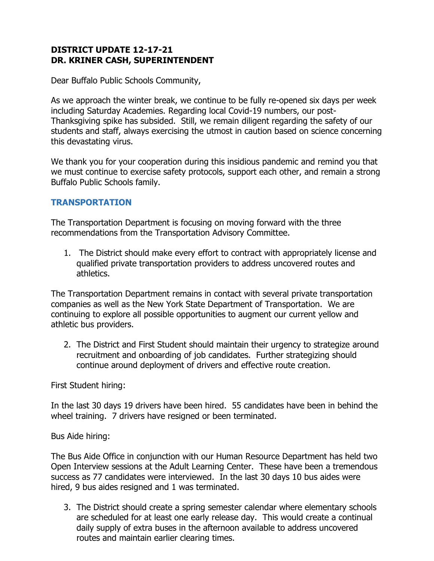## **DISTRICT UPDATE 12-17-21 DR. KRINER CASH, SUPERINTENDENT**

Dear Buffalo Public Schools Community,

As we approach the winter break, we continue to be fully re-opened six days per week including Saturday Academies. Regarding local Covid-19 numbers, our post-Thanksgiving spike has subsided. Still, we remain diligent regarding the safety of our students and staff, always exercising the utmost in caution based on science concerning this devastating virus.

We thank you for your cooperation during this insidious pandemic and remind you that we must continue to exercise safety protocols, support each other, and remain a strong Buffalo Public Schools family.

## **TRANSPORTATION**

The Transportation Department is focusing on moving forward with the three recommendations from the Transportation Advisory Committee.

1. The District should make every effort to contract with appropriately license and qualified private transportation providers to address uncovered routes and athletics.

The Transportation Department remains in contact with several private transportation companies as well as the New York State Department of Transportation. We are continuing to explore all possible opportunities to augment our current yellow and athletic bus providers.

2. The District and First Student should maintain their urgency to strategize around recruitment and onboarding of job candidates. Further strategizing should continue around deployment of drivers and effective route creation.

First Student hiring:

In the last 30 days 19 drivers have been hired. 55 candidates have been in behind the wheel training. 7 drivers have resigned or been terminated.

Bus Aide hiring:

The Bus Aide Office in conjunction with our Human Resource Department has held two Open Interview sessions at the Adult Learning Center. These have been a tremendous success as 77 candidates were interviewed. In the last 30 days 10 bus aides were hired, 9 bus aides resigned and 1 was terminated.

3. The District should create a spring semester calendar where elementary schools are scheduled for at least one early release day. This would create a continual daily supply of extra buses in the afternoon available to address uncovered routes and maintain earlier clearing times.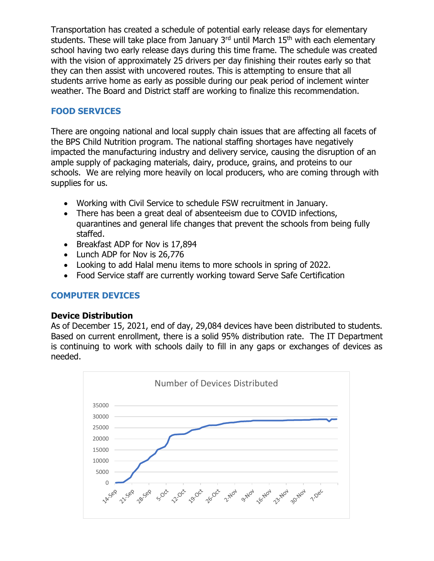Transportation has created a schedule of potential early release days for elementary students. These will take place from January  $3<sup>rd</sup>$  until March  $15<sup>th</sup>$  with each elementary school having two early release days during this time frame. The schedule was created with the vision of approximately 25 drivers per day finishing their routes early so that they can then assist with uncovered routes. This is attempting to ensure that all students arrive home as early as possible during our peak period of inclement winter weather. The Board and District staff are working to finalize this recommendation.

## **FOOD SERVICES**

There are ongoing national and local supply chain issues that are affecting all facets of the BPS Child Nutrition program. The national staffing shortages have negatively impacted the manufacturing industry and delivery service, causing the disruption of an ample supply of packaging materials, dairy, produce, grains, and proteins to our schools. We are relying more heavily on local producers, who are coming through with supplies for us.

- Working with Civil Service to schedule FSW recruitment in January.
- There has been a great deal of absenteeism due to COVID infections, quarantines and general life changes that prevent the schools from being fully staffed.
- Breakfast ADP for Nov is 17,894
- Lunch ADP for Nov is 26,776
- Looking to add Halal menu items to more schools in spring of 2022.
- Food Service staff are currently working toward Serve Safe Certification

# **COMPUTER DEVICES**

### **Device Distribution**

As of December 15, 2021, end of day, 29,084 devices have been distributed to students. Based on current enrollment, there is a solid 95% distribution rate. The IT Department is continuing to work with schools daily to fill in any gaps or exchanges of devices as needed.

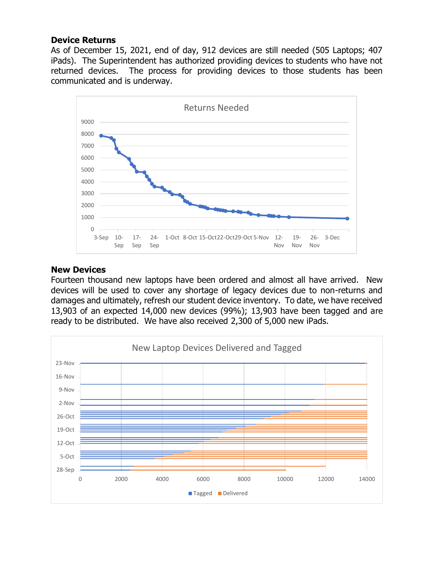#### **Device Returns**

As of December 15, 2021, end of day, 912 devices are still needed (505 Laptops; 407 iPads). The Superintendent has authorized providing devices to students who have not returned devices. The process for providing devices to those students has been communicated and is underway.



#### **New Devices**

Fourteen thousand new laptops have been ordered and almost all have arrived. New devices will be used to cover any shortage of legacy devices due to non-returns and damages and ultimately, refresh our student device inventory. To date, we have received 13,903 of an expected 14,000 new devices (99%); 13,903 have been tagged and are ready to be distributed. We have also received 2,300 of 5,000 new iPads.

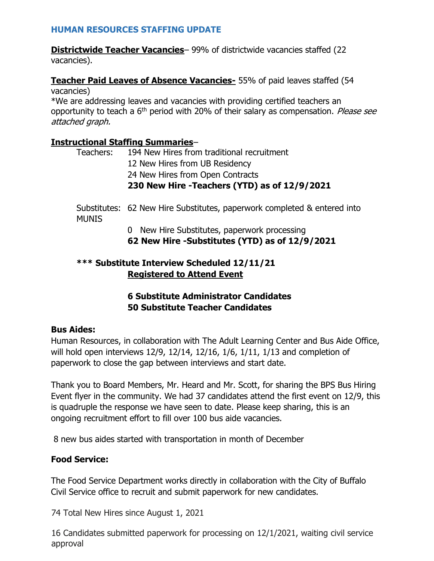### **HUMAN RESOURCES STAFFING UPDATE**

**Districtwide Teacher Vacancies** – 99% of districtwide vacancies staffed (22 vacancies).

#### **Teacher Paid Leaves of Absence Vacancies-** 55% of paid leaves staffed (54 vacancies)

\*We are addressing leaves and vacancies with providing certified teachers an opportunity to teach a  $6<sup>th</sup>$  period with 20% of their salary as compensation. *Please see* attached graph.

## **Instructional Staffing Summaries**–

|           | 230 New Hire - Teachers (YTD) as of 12/9/2021 |
|-----------|-----------------------------------------------|
|           | 24 New Hires from Open Contracts              |
|           | 12 New Hires from UB Residency                |
| Teachers: | 194 New Hires from traditional recruitment    |

Substitutes: 62 New Hire Substitutes, paperwork completed & entered into MUNIS

> 0 New Hire Substitutes, paperwork processing **62 New Hire -Substitutes (YTD) as of 12/9/2021**

# **\*\*\* Substitute Interview Scheduled 12/11/21 Registered to Attend Event**

# **6 Substitute Administrator Candidates 50 Substitute Teacher Candidates**

# **Bus Aides:**

Human Resources, in collaboration with The Adult Learning Center and Bus Aide Office, will hold open interviews 12/9, 12/14, 12/16, 1/6, 1/11, 1/13 and completion of paperwork to close the gap between interviews and start date.

Thank you to Board Members, Mr. Heard and Mr. Scott, for sharing the BPS Bus Hiring Event flyer in the community. We had 37 candidates attend the first event on 12/9, this is quadruple the response we have seen to date. Please keep sharing, this is an ongoing recruitment effort to fill over 100 bus aide vacancies.

8 new bus aides started with transportation in month of December

# **Food Service:**

The Food Service Department works directly in collaboration with the City of Buffalo Civil Service office to recruit and submit paperwork for new candidates.

74 Total New Hires since August 1, 2021

16 Candidates submitted paperwork for processing on 12/1/2021, waiting civil service approval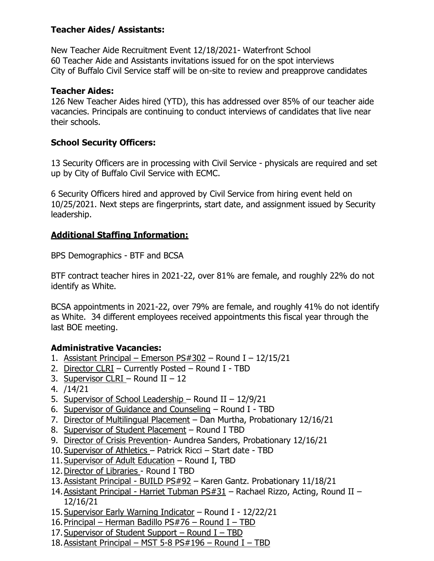## **Teacher Aides/ Assistants:**

New Teacher Aide Recruitment Event 12/18/2021- Waterfront School 60 Teacher Aide and Assistants invitations issued for on the spot interviews City of Buffalo Civil Service staff will be on-site to review and preapprove candidates

### **Teacher Aides:**

126 New Teacher Aides hired (YTD), this has addressed over 85% of our teacher aide vacancies. Principals are continuing to conduct interviews of candidates that live near their schools.

## **School Security Officers:**

13 Security Officers are in processing with Civil Service - physicals are required and set up by City of Buffalo Civil Service with ECMC.

6 Security Officers hired and approved by Civil Service from hiring event held on 10/25/2021. Next steps are fingerprints, start date, and assignment issued by Security leadership.

# **Additional Staffing Information:**

BPS Demographics - BTF and BCSA

BTF contract teacher hires in 2021-22, over 81% are female, and roughly 22% do not identify as White.

BCSA appointments in 2021-22, over 79% are female, and roughly 41% do not identify as White. 34 different employees received appointments this fiscal year through the last BOE meeting.

# **Administrative Vacancies:**

- 1. Assistant Principal Emerson  $PS#302$  Round I 12/15/21
- 2. Director CLRI Currently Posted Round I TBD
- 3. Supervisor CLRI Round II 12
- 4. /14/21
- 5. Supervisor of School Leadership Round II 12/9/21
- 6. Supervisor of Guidance and Counseling Round I TBD
- 7. Director of Multilingual Placement Dan Murtha, Probationary 12/16/21
- 8. Supervisor of Student Placement Round I TBD
- 9. Director of Crisis Prevention- Aundrea Sanders, Probationary 12/16/21
- 10.Supervisor of Athletics Patrick Ricci Start date TBD
- 11.Supervisor of Adult Education Round I, TBD
- 12. Director of Libraries Round I TBD
- 13.Assistant Principal BUILD PS#92 Karen Gantz. Probationary 11/18/21
- 14.Assistant Principal Harriet Tubman PS#31 Rachael Rizzo, Acting, Round II 12/16/21
- 15.Supervisor Early Warning Indicator Round I 12/22/21
- 16.Principal Herman Badillo PS#76 Round I TBD
- 17. Supervisor of Student Support Round I TBD
- 18.Assistant Principal MST 5-8 PS#196 Round I TBD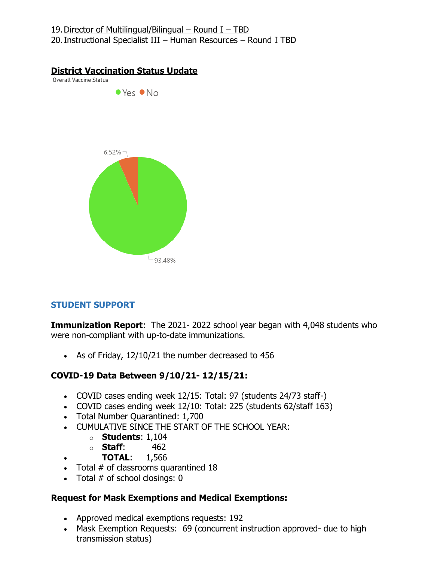#### 19. Director of Multilingual/Bilingual – Round I – TBD 20.Instructional Specialist III – Human Resources – Round I TBD

#### **District Vaccination Status Update**

**Overall Vaccine Status** 



# **STUDENT SUPPORT**

**Immunization Report:** The 2021-2022 school year began with 4,048 students who were non-compliant with up-to-date immunizations.

• As of Friday, 12/10/21 the number decreased to 456

### **COVID-19 Data Between 9/10/21- 12/15/21:**

- COVID cases ending week 12/15: Total: 97 (students 24/73 staff-)
- COVID cases ending week 12/10: Total: 225 (students 62/staff 163)
- Total Number Quarantined: 1,700
- CUMULATIVE SINCE THE START OF THE SCHOOL YEAR:
	- o **Students**: 1,104
	- o **Staff**: 462
- **TOTAL**: 1,566
- Total # of classrooms quarantined 18
- Total  $#$  of school closings: 0

### **Request for Mask Exemptions and Medical Exemptions:**

- Approved medical exemptions requests: 192
- Mask Exemption Requests: 69 (concurrent instruction approved- due to high transmission status)